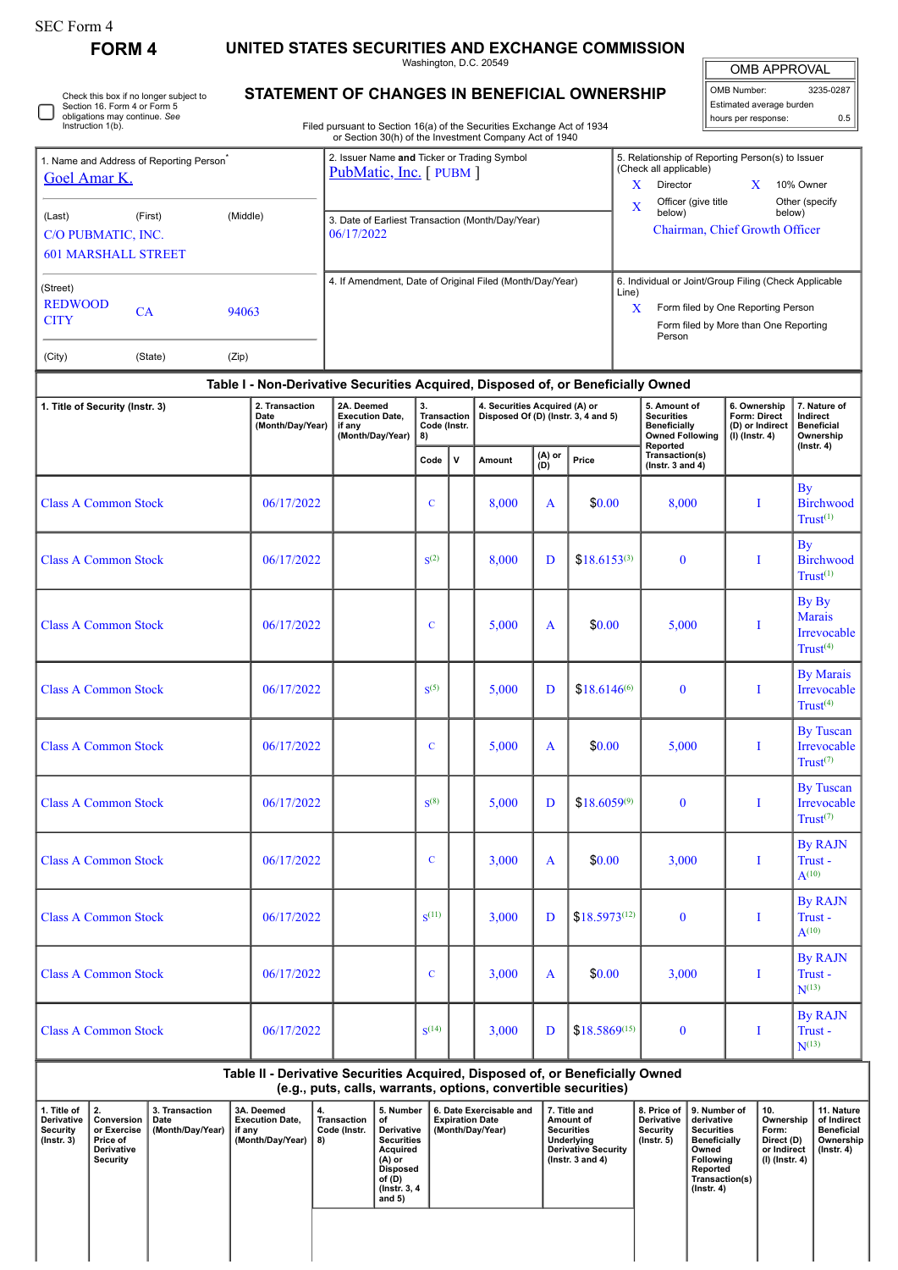| orm<br>. . |  |
|------------|--|
|------------|--|

□

Check this box if no longer subject to Section 16. Form 4 or Form 5 obligations may continue. *See* Instruction 1(b).

**FORM 4 UNITED STATES SECURITIES AND EXCHANGE COMMISSION**

**STATEMENT OF CHANGES IN BENEFICIAL OWNERSHIP**

Washington, D.C. 20549

 $\mathbb I$ OMB APPROVAL

| OMB Number:<br>3235-0287 |     |  |  |  |  |  |  |  |
|--------------------------|-----|--|--|--|--|--|--|--|
| Estimated average burden |     |  |  |  |  |  |  |  |
| hours per response:      | 0.5 |  |  |  |  |  |  |  |

Filed pursuant to Section 16(a) of the Securities Exchange Act of 1934 or Section 30(h) of the Investment Company Act of 1940

|                            | Name and Address of Reporting Person <sup>®</sup> |          | 2. Issuer Name and Ticker or Trading Symbol<br>PubMatic, Inc. [PUBM] | 5. Relationship of Reporting Person(s) to Issuer<br>(Check all applicable) |                                                       |  |                          |  |  |
|----------------------------|---------------------------------------------------|----------|----------------------------------------------------------------------|----------------------------------------------------------------------------|-------------------------------------------------------|--|--------------------------|--|--|
| <b>Goel Amar K.</b>        |                                                   |          |                                                                      | x                                                                          | Director                                              |  | 10% Owner                |  |  |
| (Last)<br>(First)          |                                                   | (Middle) |                                                                      | X                                                                          | Officer (give title<br>below)                         |  | Other (specify<br>below) |  |  |
| C/O PUBMATIC, INC.         |                                                   |          | 3. Date of Earliest Transaction (Month/Day/Year)<br>06/17/2022       |                                                                            | Chairman, Chief Growth Officer                        |  |                          |  |  |
| <b>601 MARSHALL STREET</b> |                                                   |          |                                                                      |                                                                            |                                                       |  |                          |  |  |
| (Street)                   |                                                   |          | 4. If Amendment, Date of Original Filed (Month/Day/Year)             | Line)                                                                      | 6. Individual or Joint/Group Filing (Check Applicable |  |                          |  |  |
| <b>REDWOOD</b>             | <b>CA</b>                                         | 94063    |                                                                      | X                                                                          | Form filed by One Reporting Person                    |  |                          |  |  |
| <b>CITY</b>                |                                                   |          |                                                                      |                                                                            | Form filed by More than One Reporting<br>Person       |  |                          |  |  |
| (City)                     | (State)                                           | (Zip)    |                                                                      |                                                                            |                                                       |  |                          |  |  |

| Table I - Non-Derivative Securities Acquired, Disposed of, or Beneficially Owned |                                            |                                                                    |                                                |   |                                                                      |               |                   |                                                                                                |                                                                     |                                                                                |  |  |
|----------------------------------------------------------------------------------|--------------------------------------------|--------------------------------------------------------------------|------------------------------------------------|---|----------------------------------------------------------------------|---------------|-------------------|------------------------------------------------------------------------------------------------|---------------------------------------------------------------------|--------------------------------------------------------------------------------|--|--|
| 1. Title of Security (Instr. 3)                                                  | 2. Transaction<br>Date<br>(Month/Day/Year) | 2A. Deemed<br><b>Execution Date,</b><br>if any<br>(Month/Day/Year) | 3.<br><b>Transaction</b><br>Code (Instr.<br>8) |   | 4. Securities Acquired (A) or<br>Disposed Of (D) (Instr. 3, 4 and 5) |               |                   | 5. Amount of<br><b>Securities</b><br><b>Beneficially</b><br><b>Owned Following</b><br>Reported | 6. Ownership<br>Form: Direct<br>(D) or Indirect<br>$(I)$ (Instr. 4) | 7. Nature of<br>Indirect<br><b>Beneficial</b><br>Ownership<br>$($ Instr. 4 $)$ |  |  |
|                                                                                  |                                            |                                                                    | Code                                           | V | Amount                                                               | (A) or<br>ÌDÍ | Price             | Transaction(s)<br>(Instr. 3 and $4$ )                                                          |                                                                     |                                                                                |  |  |
| <b>Class A Common Stock</b>                                                      | 06/17/2022                                 |                                                                    | $\mathbf C$                                    |   | 8,000                                                                | A             | \$0.00            | 8,000                                                                                          | I                                                                   | <b>By</b><br><b>Birchwood</b><br>$Trust^{(1)}$                                 |  |  |
| <b>Class A Common Stock</b>                                                      | 06/17/2022                                 |                                                                    | S <sup>(2)</sup>                               |   | 8,000                                                                | D             | $$18.6153^{(3)}$  | $\bf{0}$                                                                                       | I                                                                   | <b>By</b><br><b>Birchwood</b><br>$Trust^{(1)}$                                 |  |  |
| <b>Class A Common Stock</b>                                                      | 06/17/2022                                 |                                                                    | $\mathbf C$                                    |   | 5,000                                                                | $\mathbf{A}$  | \$0.00            | 5,000                                                                                          | $\bf{I}$                                                            | By By<br><b>Marais</b><br>Irrevocable<br>Trust <sup>(4)</sup>                  |  |  |
| <b>Class A Common Stock</b>                                                      | 06/17/2022                                 |                                                                    | S <sup>(5)</sup>                               |   | 5,000                                                                | D             | $$18.6146^{(6)}$  | $\bf{0}$                                                                                       | I                                                                   | <b>By Marais</b><br>Irrevocable<br>Trust <sup>(4)</sup>                        |  |  |
| <b>Class A Common Stock</b>                                                      | 06/17/2022                                 |                                                                    | $\mathbf C$                                    |   | 5,000                                                                | $\mathbf{A}$  | \$0.00            | 5,000                                                                                          | I                                                                   | <b>By Tuscan</b><br>Irrevocable<br>Trust $(7)$                                 |  |  |
| <b>Class A Common Stock</b>                                                      | 06/17/2022                                 |                                                                    | $S^{(8)}$                                      |   | 5,000                                                                | D             | $$18.6059^{(9)}$  | $\bf{0}$                                                                                       | I                                                                   | <b>By Tuscan</b><br>Irrevocable<br>Trust $(7)$                                 |  |  |
| <b>Class A Common Stock</b>                                                      | 06/17/2022                                 |                                                                    | $\overline{C}$                                 |   | 3,000                                                                | $\mathbf{A}$  | \$0.00            | 3,000                                                                                          | I                                                                   | <b>By RAJN</b><br>Trust-<br>$A^{(10)}$                                         |  |  |
| <b>Class A Common Stock</b>                                                      | 06/17/2022                                 |                                                                    | S <sup>(11)</sup>                              |   | 3,000                                                                | D             | $$18.5973^{(12)}$ | $\bf{0}$                                                                                       | I                                                                   | <b>By RAJN</b><br>Trust-<br>$A^{(10)}$                                         |  |  |
| <b>Class A Common Stock</b>                                                      | 06/17/2022                                 |                                                                    | $\mathbf C$                                    |   | 3,000                                                                | A             | \$0.00            | 3,000                                                                                          | I                                                                   | <b>By RAJN</b><br>Trust -<br>$N^{(13)}$                                        |  |  |
| <b>Class A Common Stock</b>                                                      | 06/17/2022                                 |                                                                    | S <sup>(14)</sup>                              |   | 3,000                                                                | D             | $$18.5869^{(15)}$ | $\bf{0}$                                                                                       | Ι                                                                   | <b>By RAJN</b><br>Trust-<br>$N^{(13)}$                                         |  |  |

**Table II - Derivative Securities Acquired, Disposed of, or Beneficially Owned (e.g., puts, calls, warrants, options, convertible securities)**

| 1. Title of<br><b>Derivative</b><br>Security<br>$($ lnstr. 3 $)$ | 2.<br>Conversion<br>or Exercise<br>Price of<br>Derivative<br>Security | 3. Transaction<br>Date<br>(Month/Day/Year) | 3A. Deemed<br><b>Execution Date.</b><br>if any<br>(Month/Day/Year) | 4.<br>Transaction<br>Code (Instr.<br>8) | 5. Number<br>οf<br>Derivative<br><b>Securities</b><br>Acquired<br>(A) or<br><b>Disposed</b><br>of (D)<br>(Instr. 3, 4)<br>and $5)$ | 6. Date Exercisable and<br><b>Expiration Date</b><br>(Month/Day/Year) | 7. Title and<br>Amount of<br><b>Securities</b><br>Underlying<br><b>Derivative Security</b><br>( $lnstr.$ 3 and 4) | <b>Derivative</b><br>Security<br>(Instr. 5) | 8. Price of 19. Number of<br>derivative<br><b>Securities</b><br><b>Beneficially</b><br>Owned<br>Following<br>Reported<br>Transaction(s)<br>(Instr. 4) | ່ 10.<br>Ownership<br>Form:<br>Direct (D)<br>or Indirect<br>(I) (Instr. 4) | 11. Nature<br>of Indirect<br>Beneficial<br>Ownership  <br>$($ lnstr. 4 $)$ |
|------------------------------------------------------------------|-----------------------------------------------------------------------|--------------------------------------------|--------------------------------------------------------------------|-----------------------------------------|------------------------------------------------------------------------------------------------------------------------------------|-----------------------------------------------------------------------|-------------------------------------------------------------------------------------------------------------------|---------------------------------------------|-------------------------------------------------------------------------------------------------------------------------------------------------------|----------------------------------------------------------------------------|----------------------------------------------------------------------------|
|                                                                  |                                                                       |                                            |                                                                    |                                         |                                                                                                                                    |                                                                       |                                                                                                                   |                                             |                                                                                                                                                       |                                                                            |                                                                            |